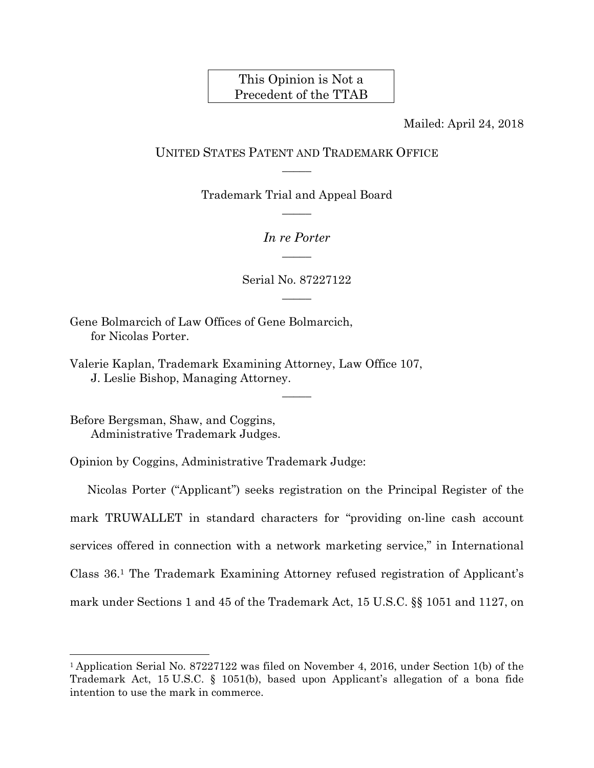## This Opinion is Not a Precedent of the TTAB

Mailed: April 24, 2018

## UNITED STATES PATENT AND TRADEMARK OFFICE  $\overline{\phantom{a}}$

Trademark Trial and Appeal Board  $\overline{\phantom{a}}$ 

> *In re Porter*   $\overline{\phantom{a}}$

Serial No. 87227122  $\overline{\phantom{a}}$ 

 $\overline{\phantom{a}}$ 

Gene Bolmarcich of Law Offices of Gene Bolmarcich, for Nicolas Porter.

Valerie Kaplan, Trademark Examining Attorney, Law Office 107, J. Leslie Bishop, Managing Attorney.

Before Bergsman, Shaw, and Coggins, Administrative Trademark Judges.

 $\overline{a}$ 

Opinion by Coggins, Administrative Trademark Judge:

Nicolas Porter ("Applicant") seeks registration on the Principal Register of the mark TRUWALLET in standard characters for "providing on-line cash account services offered in connection with a network marketing service," in International Class 36.1 The Trademark Examining Attorney refused registration of Applicant's mark under Sections 1 and 45 of the Trademark Act, 15 U.S.C. §§ 1051 and 1127, on

<sup>1</sup> Application Serial No. 87227122 was filed on November 4, 2016, under Section 1(b) of the Trademark Act, 15 U.S.C. § 1051(b), based upon Applicant's allegation of a bona fide intention to use the mark in commerce.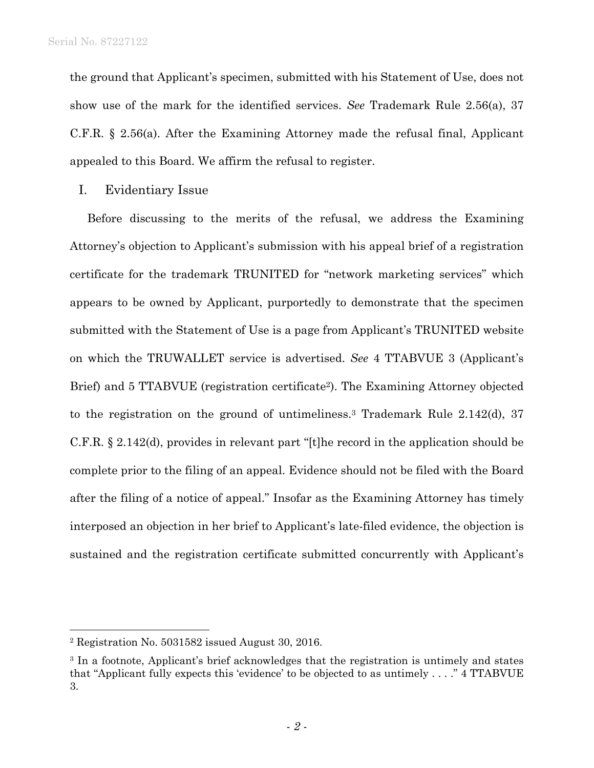the ground that Applicant's specimen, submitted with his Statement of Use, does not show use of the mark for the identified services. *See* Trademark Rule 2.56(a), 37 C.F.R. § 2.56(a). After the Examining Attorney made the refusal final, Applicant appealed to this Board. We affirm the refusal to register.

I. Evidentiary Issue

Before discussing to the merits of the refusal, we address the Examining Attorney's objection to Applicant's submission with his appeal brief of a registration certificate for the trademark TRUNITED for "network marketing services" which appears to be owned by Applicant, purportedly to demonstrate that the specimen submitted with the Statement of Use is a page from Applicant's TRUNITED website on which the TRUWALLET service is advertised. *See* 4 TTABVUE 3 (Applicant's Brief) and 5 TTABVUE (registration certificate<sup>2</sup>). The Examining Attorney objected to the registration on the ground of untimeliness.3 Trademark Rule 2.142(d), 37 C.F.R. § 2.142(d), provides in relevant part "[t]he record in the application should be complete prior to the filing of an appeal. Evidence should not be filed with the Board after the filing of a notice of appeal." Insofar as the Examining Attorney has timely interposed an objection in her brief to Applicant's late-filed evidence, the objection is sustained and the registration certificate submitted concurrently with Applicant's

 $\overline{a}$ 

<sup>2</sup> Registration No. 5031582 issued August 30, 2016.

<sup>&</sup>lt;sup>3</sup> In a footnote, Applicant's brief acknowledges that the registration is untimely and states that "Applicant fully expects this 'evidence' to be objected to as untimely . . . ." 4 TTABVUE 3.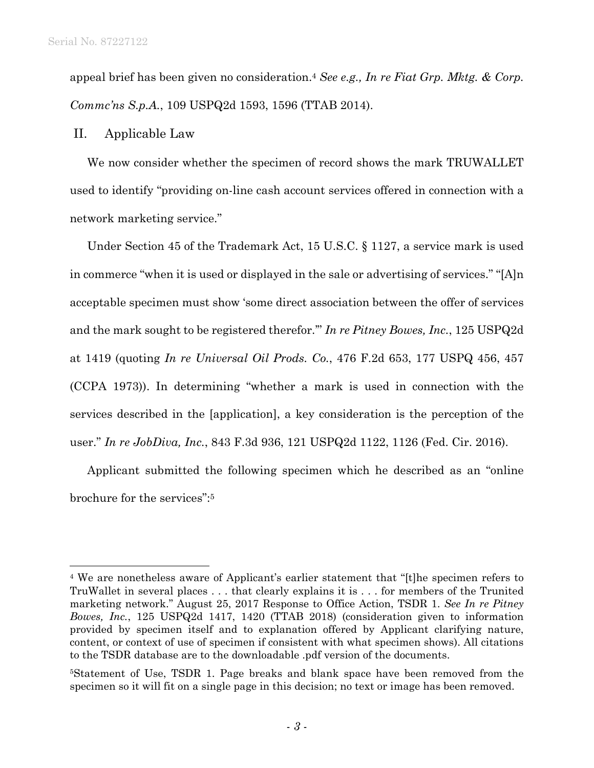$\overline{a}$ 

appeal brief has been given no consideration.4 *See e.g., In re Fiat Grp. Mktg. & Corp. Commc'ns S.p.A.*, 109 USPQ2d 1593, 1596 (TTAB 2014).

## II. Applicable Law

We now consider whether the specimen of record shows the mark TRUWALLET used to identify "providing on-line cash account services offered in connection with a network marketing service."

Under Section 45 of the Trademark Act, 15 U.S.C. § 1127, a service mark is used in commerce "when it is used or displayed in the sale or advertising of services." "[A]n acceptable specimen must show 'some direct association between the offer of services and the mark sought to be registered therefor.'" *In re Pitney Bowes, Inc.*, 125 USPQ2d at 1419 (quoting *In re Universal Oil Prods. Co.*, 476 F.2d 653, 177 USPQ 456, 457 (CCPA 1973)). In determining "whether a mark is used in connection with the services described in the [application], a key consideration is the perception of the user." *In re JobDiva, Inc.*, 843 F.3d 936, 121 USPQ2d 1122, 1126 (Fed. Cir. 2016).

Applicant submitted the following specimen which he described as an "online brochure for the services":5

<sup>4</sup> We are nonetheless aware of Applicant's earlier statement that "[t]he specimen refers to TruWallet in several places . . . that clearly explains it is . . . for members of the Trunited marketing network." August 25, 2017 Response to Office Action, TSDR 1. *See In re Pitney Bowes, Inc.*, 125 USPQ2d 1417, 1420 (TTAB 2018) (consideration given to information provided by specimen itself and to explanation offered by Applicant clarifying nature, content, or context of use of specimen if consistent with what specimen shows). All citations to the TSDR database are to the downloadable .pdf version of the documents.

<sup>5</sup>Statement of Use, TSDR 1. Page breaks and blank space have been removed from the specimen so it will fit on a single page in this decision; no text or image has been removed.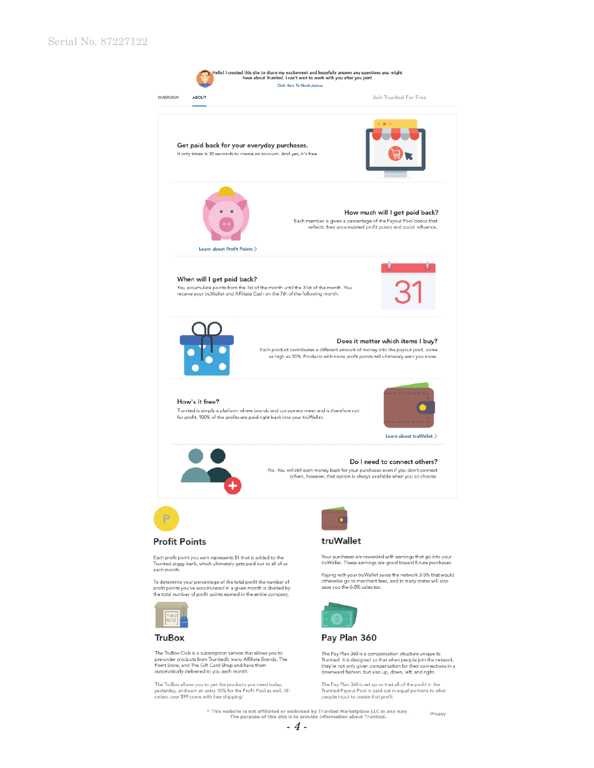

The Pay Plan 360 is a compensation structure unique to Trunited. It is designed so that when people join the network,<br>they're not only given compensation for their connections in a downward fashion, but also up, down, left, and right.

The Pay Plan 360 is set up so that all of the profit in the Trunited Payout Pool is paid out in equal portions to what<br>people input to create that profit.

\* This website is not affiliated or endorsed by Trunited Marketplace LLC in any way.<br>The purpose of this site is to provide information about Trunited. Privacy

The TruBox allows you to get the products you need today,<br>yesterday, and earn an extra 10% for the Profit Pool as well. All<br>orders over \$99 come with free shipping!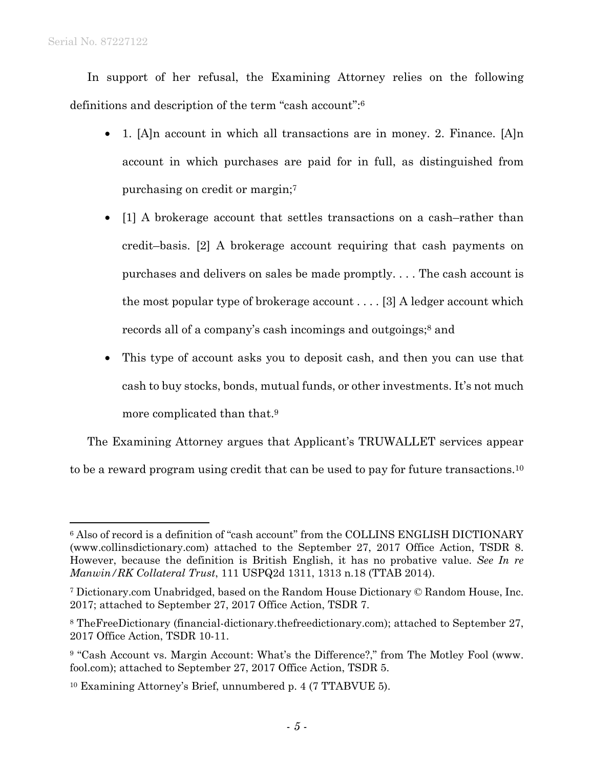$\overline{a}$ 

In support of her refusal, the Examining Attorney relies on the following definitions and description of the term "cash account":6

- 1. [A]n account in which all transactions are in money. 2. Finance. [A]n account in which purchases are paid for in full, as distinguished from purchasing on credit or margin;7
- [1] A brokerage account that settles transactions on a cash-rather than credit–basis. [2] A brokerage account requiring that cash payments on purchases and delivers on sales be made promptly. . . . The cash account is the most popular type of brokerage account . . . . [3] A ledger account which records all of a company's cash incomings and outgoings;<sup>8</sup> and
- This type of account asks you to deposit cash, and then you can use that cash to buy stocks, bonds, mutual funds, or other investments. It's not much more complicated than that.9

The Examining Attorney argues that Applicant's TRUWALLET services appear to be a reward program using credit that can be used to pay for future transactions.10

<sup>6</sup> Also of record is a definition of "cash account" from the COLLINS ENGLISH DICTIONARY (www.collinsdictionary.com) attached to the September 27, 2017 Office Action, TSDR 8. However, because the definition is British English, it has no probative value. *See In re Manwin/RK Collateral Trust*, 111 USPQ2d 1311, 1313 n.18 (TTAB 2014).

<sup>7</sup> Dictionary.com Unabridged, based on the Random House Dictionary © Random House, Inc. 2017; attached to September 27, 2017 Office Action, TSDR 7.

<sup>8</sup> TheFreeDictionary (financial-dictionary.thefreedictionary.com); attached to September 27, 2017 Office Action, TSDR 10-11.

<sup>&</sup>lt;sup>9</sup> "Cash Account vs. Margin Account: What's the Difference?," from The Motley Fool (www. fool.com); attached to September 27, 2017 Office Action, TSDR 5.

<sup>10</sup> Examining Attorney's Brief, unnumbered p. 4 (7 TTABVUE 5).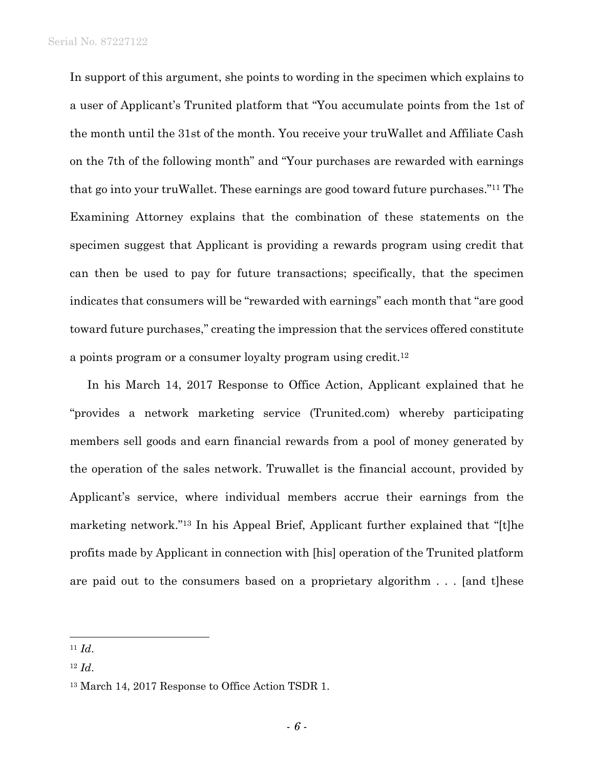Serial No. 87227122

In support of this argument, she points to wording in the specimen which explains to a user of Applicant's Trunited platform that "You accumulate points from the 1st of the month until the 31st of the month. You receive your truWallet and Affiliate Cash on the 7th of the following month" and "Your purchases are rewarded with earnings that go into your truWallet. These earnings are good toward future purchases."11 The Examining Attorney explains that the combination of these statements on the specimen suggest that Applicant is providing a rewards program using credit that can then be used to pay for future transactions; specifically, that the specimen indicates that consumers will be "rewarded with earnings" each month that "are good toward future purchases," creating the impression that the services offered constitute a points program or a consumer loyalty program using credit.12

In his March 14, 2017 Response to Office Action, Applicant explained that he "provides a network marketing service (Trunited.com) whereby participating members sell goods and earn financial rewards from a pool of money generated by the operation of the sales network. Truwallet is the financial account, provided by Applicant's service, where individual members accrue their earnings from the marketing network."13 In his Appeal Brief, Applicant further explained that "[t]he profits made by Applicant in connection with [his] operation of the Trunited platform are paid out to the consumers based on a proprietary algorithm . . . [and t]hese

l

<sup>11</sup> *Id*.

<sup>12</sup> *Id*.

<sup>13</sup> March 14, 2017 Response to Office Action TSDR 1.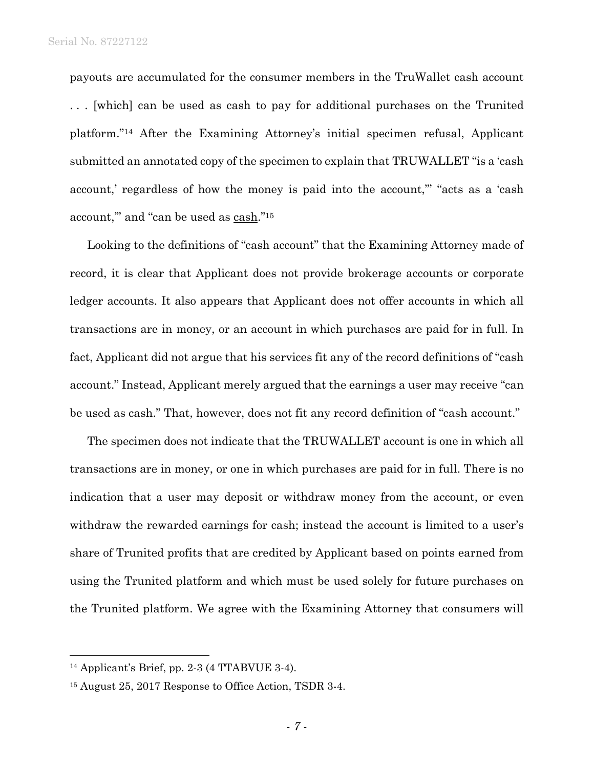payouts are accumulated for the consumer members in the TruWallet cash account . . . [which] can be used as cash to pay for additional purchases on the Trunited platform."14 After the Examining Attorney's initial specimen refusal, Applicant submitted an annotated copy of the specimen to explain that TRUWALLET "is a 'cash account,' regardless of how the money is paid into the account,"' "acts as a 'cash account," and "can be used as cash."<sup>15</sup>

Looking to the definitions of "cash account" that the Examining Attorney made of record, it is clear that Applicant does not provide brokerage accounts or corporate ledger accounts. It also appears that Applicant does not offer accounts in which all transactions are in money, or an account in which purchases are paid for in full. In fact, Applicant did not argue that his services fit any of the record definitions of "cash account." Instead, Applicant merely argued that the earnings a user may receive "can be used as cash." That, however, does not fit any record definition of "cash account."

The specimen does not indicate that the TRUWALLET account is one in which all transactions are in money, or one in which purchases are paid for in full. There is no indication that a user may deposit or withdraw money from the account, or even withdraw the rewarded earnings for cash; instead the account is limited to a user's share of Trunited profits that are credited by Applicant based on points earned from using the Trunited platform and which must be used solely for future purchases on the Trunited platform. We agree with the Examining Attorney that consumers will

 $\overline{a}$ 

<sup>14</sup> Applicant's Brief, pp. 2-3 (4 TTABVUE 3-4).

<sup>15</sup> August 25, 2017 Response to Office Action, TSDR 3-4.